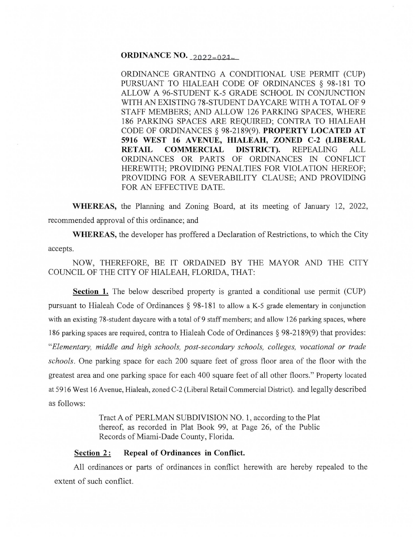**ORDINANCE NO. 2022-024-**

ORDINANCE GRANTING A CONDITIONAL USE PERMIT (CUP) PURSUANT TO HIALEAH CODE OF ORDINANCES § 98-181 TO ALLOW A 96-STUDENT K-5 GRADE SCHOOL IN CONJUNCTION WITH AN EXISTING 78-STUDENT DAYCARE WITH A TOTAL OF 9 STAFF MEMBERS; AND ALLOW 126 PARKING SPACES, WHERE 186 PARKING SPACES ARE REQUIRED; CONTRA TO HIALEAH CODE OF ORDINANCES§ 98-2189(9). **PROPERTY LOCATED AT**  5916 WEST 16 AVENUE, HIALEAH, ZONED C-2 (LIBERAL **RETAIL COMMERCIAL DISTRICT).** REPEALING ALL ORDINANCES OR PARTS OF ORDINANCES IN CONFLICT HEREWITH; PROVIDING PENALTIES FOR VIOLATION HEREOF; PROVIDING FOR A SEVERABILITY CLAUSE; AND PROVIDING FOR AN EFFECTIVE DATE.

**WHEREAS,** the Planning and Zoning Board, at its meeting of January 12, 2022, recommended approval of this ordinance; and

**WHEREAS,** the developer has proffered a Declaration of Restrictions, to which the City accepts.

NOW, THEREFORE, BE IT ORDAINED BY THE MAYOR AND THE CITY COUNCIL OF THE CITY OF HIALEAH, FLORIDA, THAT:

**Section 1.** The below described property is granted a conditional use permit (CUP) pursuant to Hialeah Code of Ordinances § 98-181 to allow a K-5 grade elementary in conjunction with an existing 78-student daycare with a total of 9 staff members; and allow 126 parking spaces, where 186 parking spaces are required, contra to Hialeah Code of Ordinances § 98-2189(9) that provides: *"Elementary, middle and high schools, post-secondary schools, colleges, vocational or trade schools.* One parking space for each 200 square feet of gross floor area of the floor with the greatest area and one parking space for each 400 square feet of all other floors. " Property located at 5916 West 16 Avenue, Hialeah, zoned C-2 (Liberal Retail Commercial District). and legally described as follows:

> Tract A of PERLMAN SUBDIVISION NO. 1, according to the Plat thereof, as recorded in Plat Book 99, at Page 26, of the Public Records of Miami-Dade County, Florida.

## **Section 2: Repeal of Ordinances in Conflict.**

All ordinances or parts of ordinances in conflict herewith are hereby repealed to the extent of such conflict.